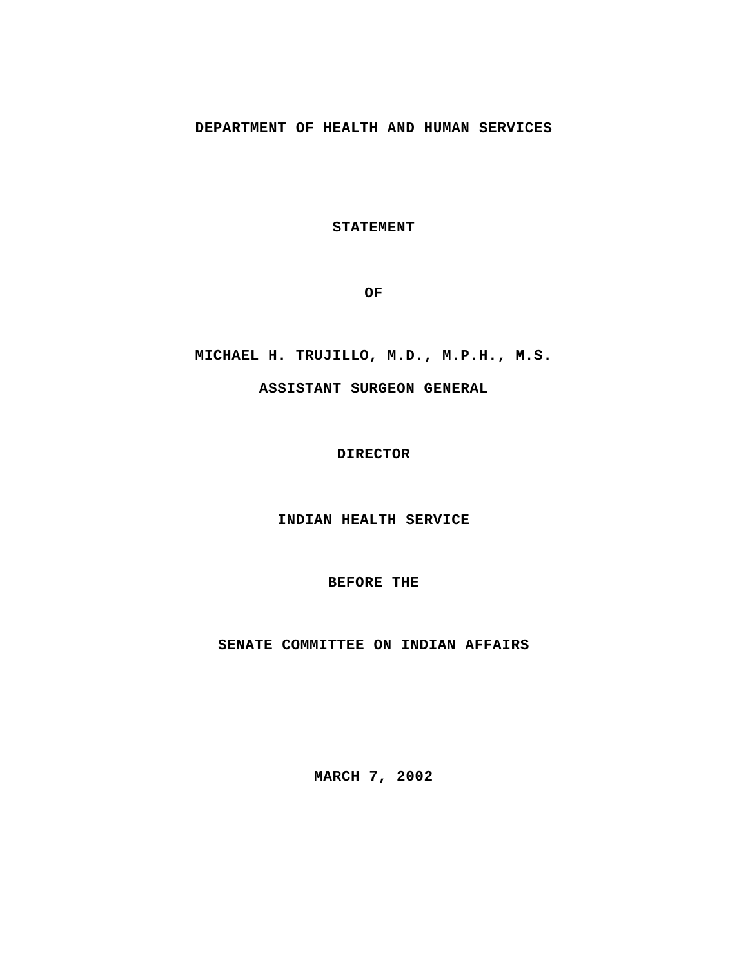# **DEPARTMENT OF HEALTH AND HUMAN SERVICES**

**STATEMENT**

**OF**

### **MICHAEL H. TRUJILLO, M.D., M.P.H., M.S.**

#### **ASSISTANT SURGEON GENERAL**

### **DIRECTOR**

**INDIAN HEALTH SERVICE**

### **BEFORE THE**

# **SENATE COMMITTEE ON INDIAN AFFAIRS**

**MARCH 7, 2002**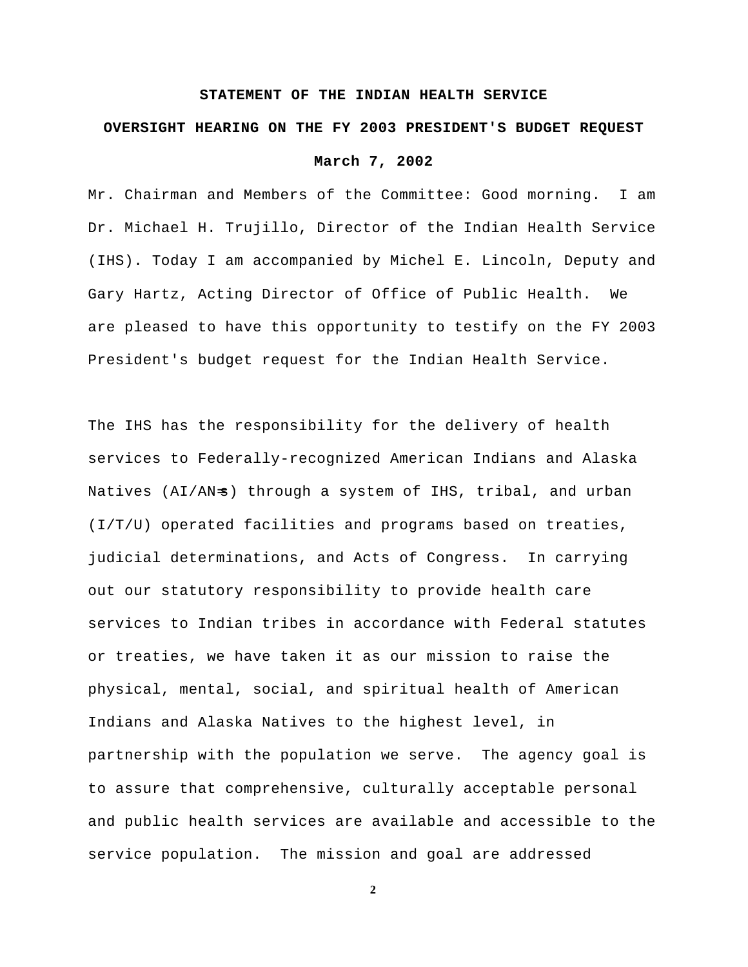#### **STATEMENT OF THE INDIAN HEALTH SERVICE**

# **OVERSIGHT HEARING ON THE FY 2003 PRESIDENT'S BUDGET REQUEST**

# **March 7, 2002**

Mr. Chairman and Members of the Committee: Good morning. I am Dr. Michael H. Trujillo, Director of the Indian Health Service (IHS). Today I am accompanied by Michel E. Lincoln, Deputy and Gary Hartz, Acting Director of Office of Public Health. We are pleased to have this opportunity to testify on the FY 2003 President's budget request for the Indian Health Service.

The IHS has the responsibility for the delivery of health services to Federally-recognized American Indians and Alaska Natives (AI/AN=s) through a system of IHS, tribal, and urban (I/T/U) operated facilities and programs based on treaties, judicial determinations, and Acts of Congress. In carrying out our statutory responsibility to provide health care services to Indian tribes in accordance with Federal statutes or treaties, we have taken it as our mission to raise the physical, mental, social, and spiritual health of American Indians and Alaska Natives to the highest level, in partnership with the population we serve. The agency goal is to assure that comprehensive, culturally acceptable personal and public health services are available and accessible to the service population. The mission and goal are addressed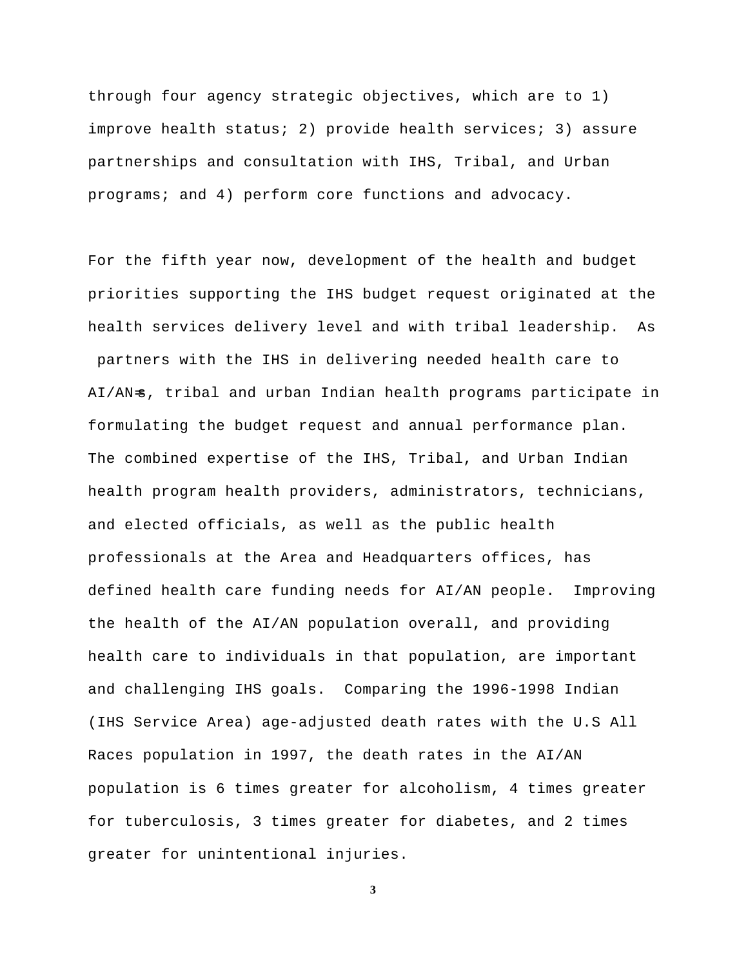through four agency strategic objectives, which are to 1) improve health status; 2) provide health services; 3) assure partnerships and consultation with IHS, Tribal, and Urban programs; and 4) perform core functions and advocacy.

For the fifth year now, development of the health and budget priorities supporting the IHS budget request originated at the health services delivery level and with tribal leadership. As partners with the IHS in delivering needed health care to AI/AN=s, tribal and urban Indian health programs participate in formulating the budget request and annual performance plan. The combined expertise of the IHS, Tribal, and Urban Indian health program health providers, administrators, technicians, and elected officials, as well as the public health professionals at the Area and Headquarters offices, has defined health care funding needs for AI/AN people. Improving the health of the AI/AN population overall, and providing health care to individuals in that population, are important and challenging IHS goals. Comparing the 1996-1998 Indian (IHS Service Area) age-adjusted death rates with the U.S All Races population in 1997, the death rates in the AI/AN population is 6 times greater for alcoholism, 4 times greater for tuberculosis, 3 times greater for diabetes, and 2 times greater for unintentional injuries.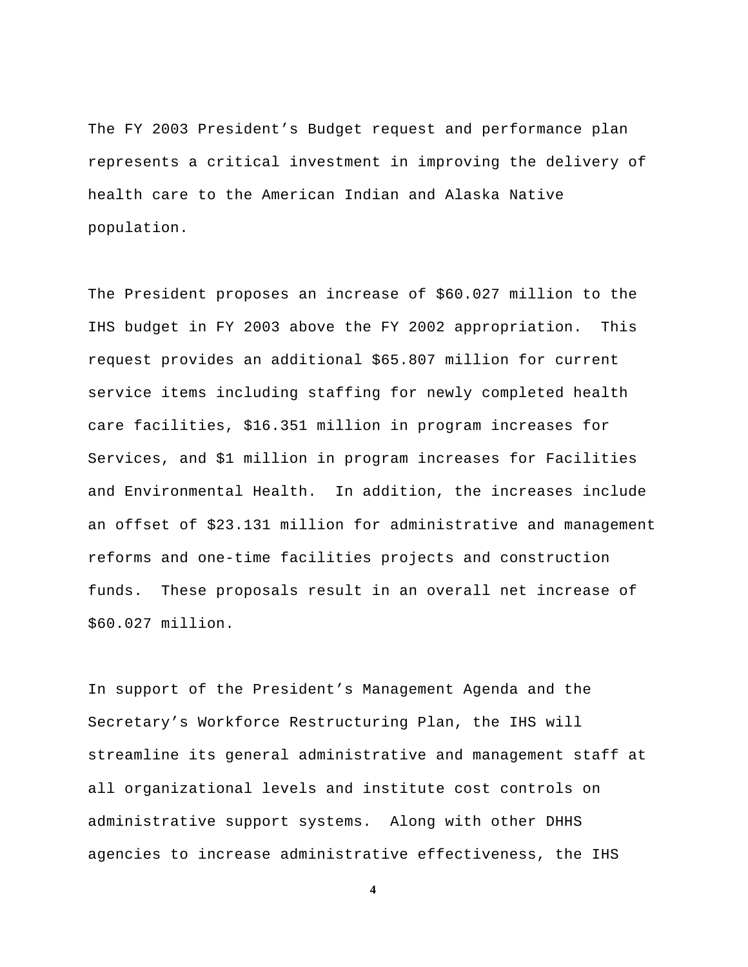The FY 2003 President's Budget request and performance plan represents a critical investment in improving the delivery of health care to the American Indian and Alaska Native population.

The President proposes an increase of \$60.027 million to the IHS budget in FY 2003 above the FY 2002 appropriation. This request provides an additional \$65.807 million for current service items including staffing for newly completed health care facilities, \$16.351 million in program increases for Services, and \$1 million in program increases for Facilities and Environmental Health. In addition, the increases include an offset of \$23.131 million for administrative and management reforms and one-time facilities projects and construction funds. These proposals result in an overall net increase of \$60.027 million.

In support of the President's Management Agenda and the Secretary's Workforce Restructuring Plan, the IHS will streamline its general administrative and management staff at all organizational levels and institute cost controls on administrative support systems. Along with other DHHS agencies to increase administrative effectiveness, the IHS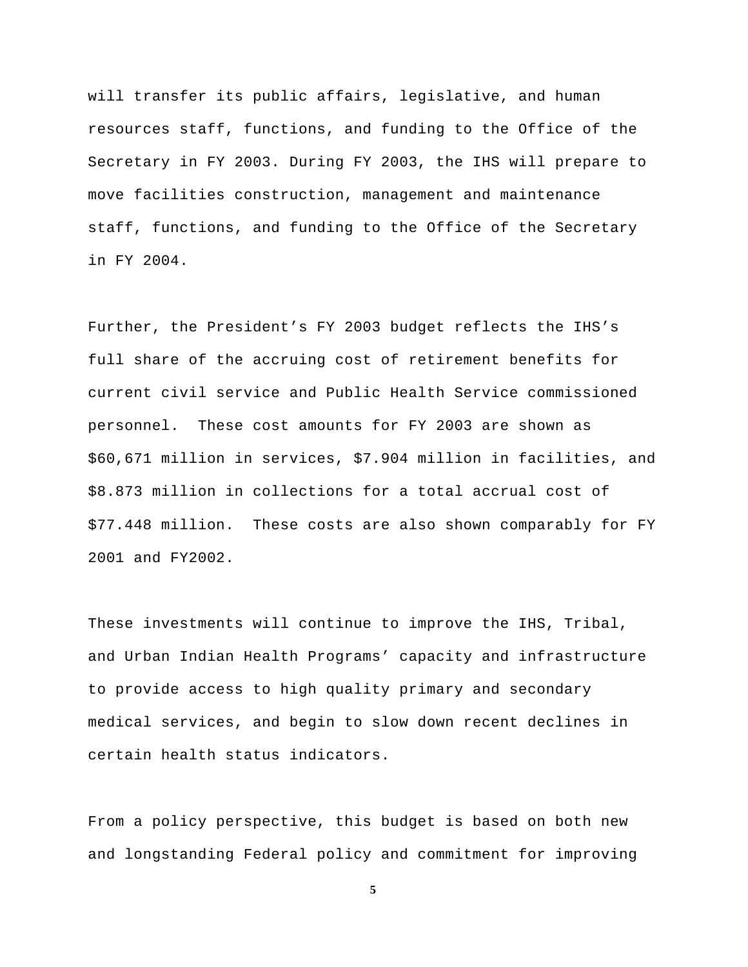will transfer its public affairs, legislative, and human resources staff, functions, and funding to the Office of the Secretary in FY 2003. During FY 2003, the IHS will prepare to move facilities construction, management and maintenance staff, functions, and funding to the Office of the Secretary in FY 2004.

Further, the President's FY 2003 budget reflects the IHS's full share of the accruing cost of retirement benefits for current civil service and Public Health Service commissioned personnel. These cost amounts for FY 2003 are shown as \$60,671 million in services, \$7.904 million in facilities, and \$8.873 million in collections for a total accrual cost of \$77.448 million. These costs are also shown comparably for FY 2001 and FY2002.

These investments will continue to improve the IHS, Tribal, and Urban Indian Health Programs' capacity and infrastructure to provide access to high quality primary and secondary medical services, and begin to slow down recent declines in certain health status indicators.

From a policy perspective, this budget is based on both new and longstanding Federal policy and commitment for improving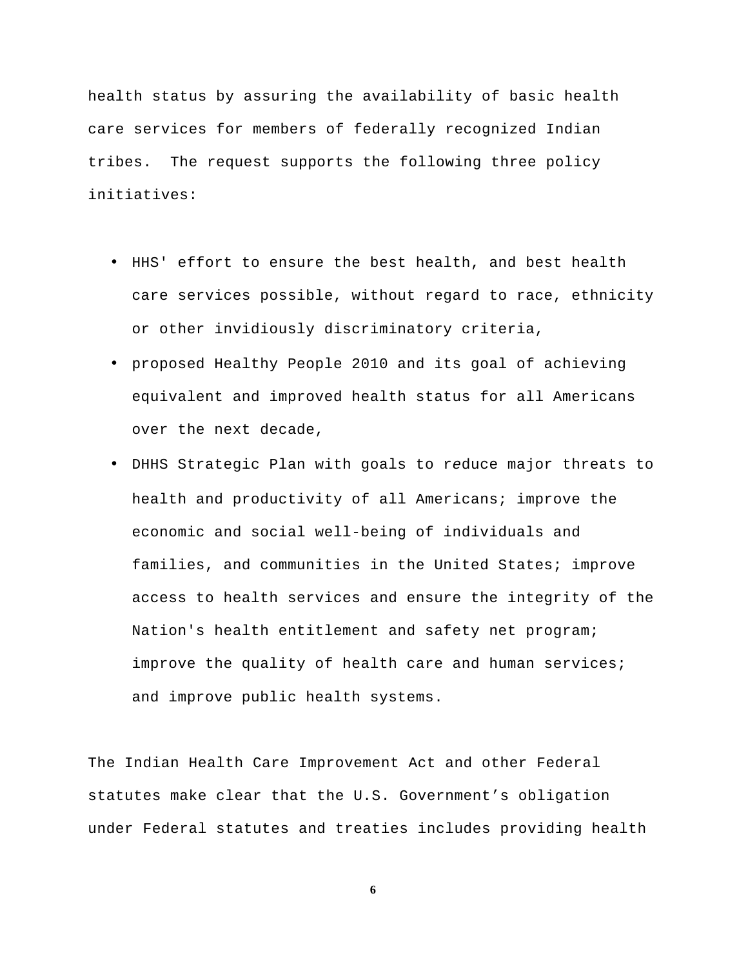health status by assuring the availability of basic health care services for members of federally recognized Indian tribes. The request supports the following three policy initiatives:

- HHS' effort to ensure the best health, and best health care services possible, without regard to race, ethnicity or other invidiously discriminatory criteria,
- proposed Healthy People 2010 and its goal of achieving equivalent and improved health status for all Americans over the next decade,
- DHHS Strategic Plan with goals to r*e*duce major threats to health and productivity of all Americans; improve the economic and social well-being of individuals and families, and communities in the United States; improve access to health services and ensure the integrity of the Nation's health entitlement and safety net program; improve the quality of health care and human services; and improve public health systems.

The Indian Health Care Improvement Act and other Federal statutes make clear that the U.S. Government's obligation under Federal statutes and treaties includes providing health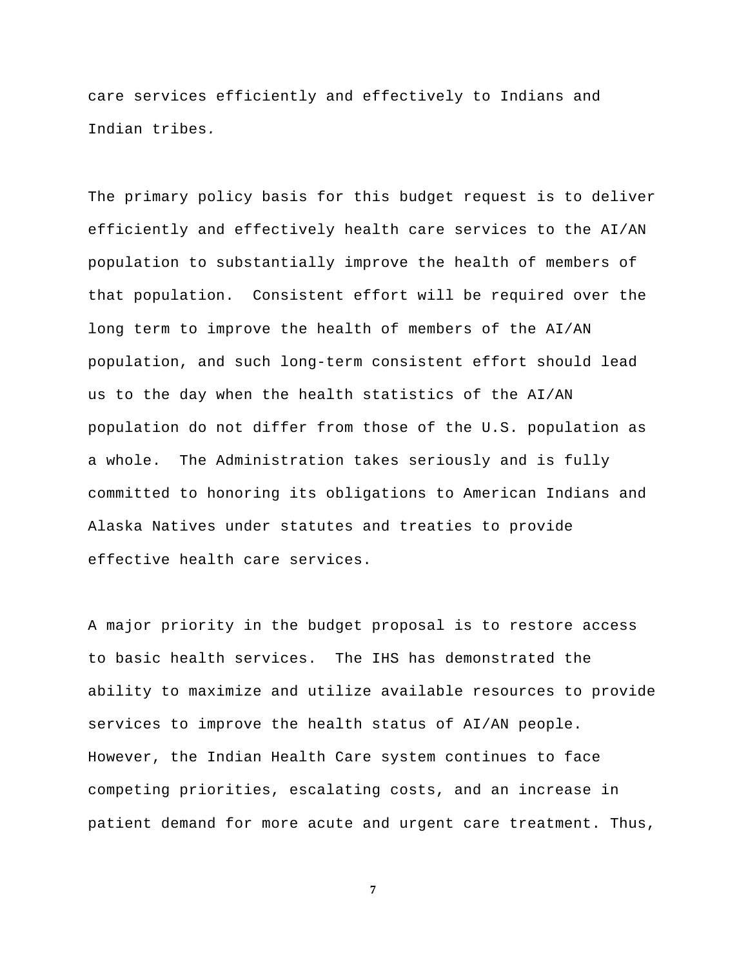care services efficiently and effectively to Indians and Indian tribes*.* 

The primary policy basis for this budget request is to deliver efficiently and effectively health care services to the AI/AN population to substantially improve the health of members of that population. Consistent effort will be required over the long term to improve the health of members of the AI/AN population, and such long-term consistent effort should lead us to the day when the health statistics of the AI/AN population do not differ from those of the U.S. population as a whole. The Administration takes seriously and is fully committed to honoring its obligations to American Indians and Alaska Natives under statutes and treaties to provide effective health care services.

A major priority in the budget proposal is to restore access to basic health services. The IHS has demonstrated the ability to maximize and utilize available resources to provide services to improve the health status of AI/AN people. However, the Indian Health Care system continues to face competing priorities, escalating costs, and an increase in patient demand for more acute and urgent care treatment. Thus,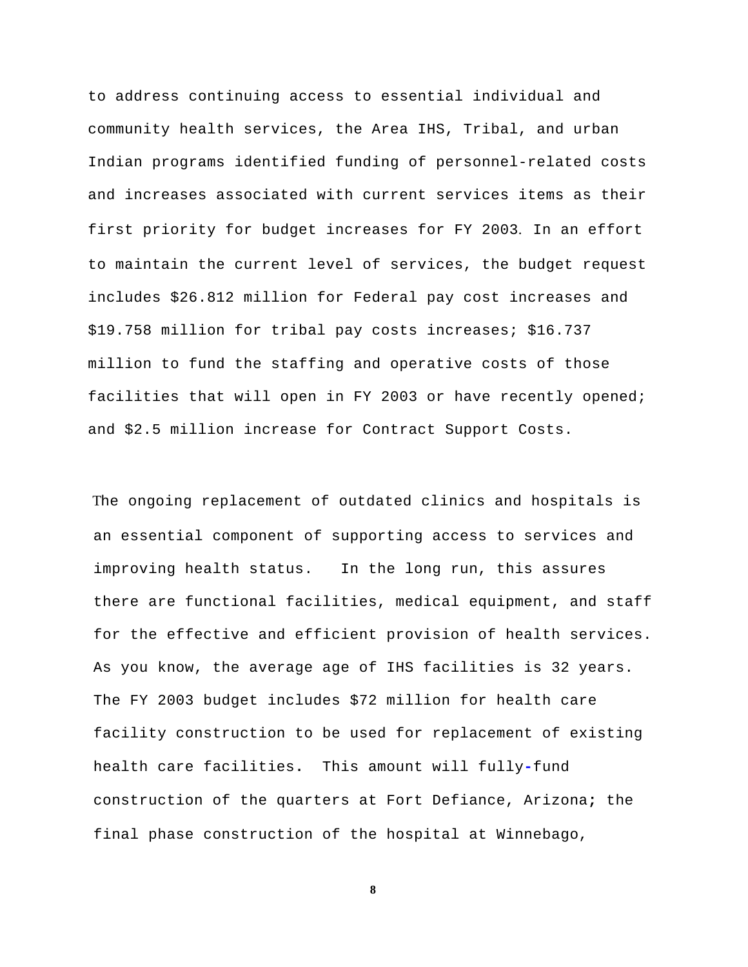to address continuing access to essential individual and community health services, the Area IHS, Tribal, and urban Indian programs identified funding of personnel-related costs and increases associated with current services items as their first priority for budget increases for FY 2003. In an effort to maintain the current level of services, the budget request includes \$26.812 million for Federal pay cost increases and \$19.758 million for tribal pay costs increases; \$16.737 million to fund the staffing and operative costs of those facilities that will open in FY 2003 or have recently opened; and \$2.5 million increase for Contract Support Costs.

The ongoing replacement of outdated clinics and hospitals is an essential component of supporting access to services and improving health status. In the long run, this assures there are functional facilities, medical equipment, and staff for the effective and efficient provision of health services. As you know, the average age of IHS facilities is 32 years. The FY 2003 budget includes \$72 million for health care facility construction to be used for replacement of existing health care facilities**.** This amount will fully**-**fund construction of the quarters at Fort Defiance, Arizona**;** the final phase construction of the hospital at Winnebago,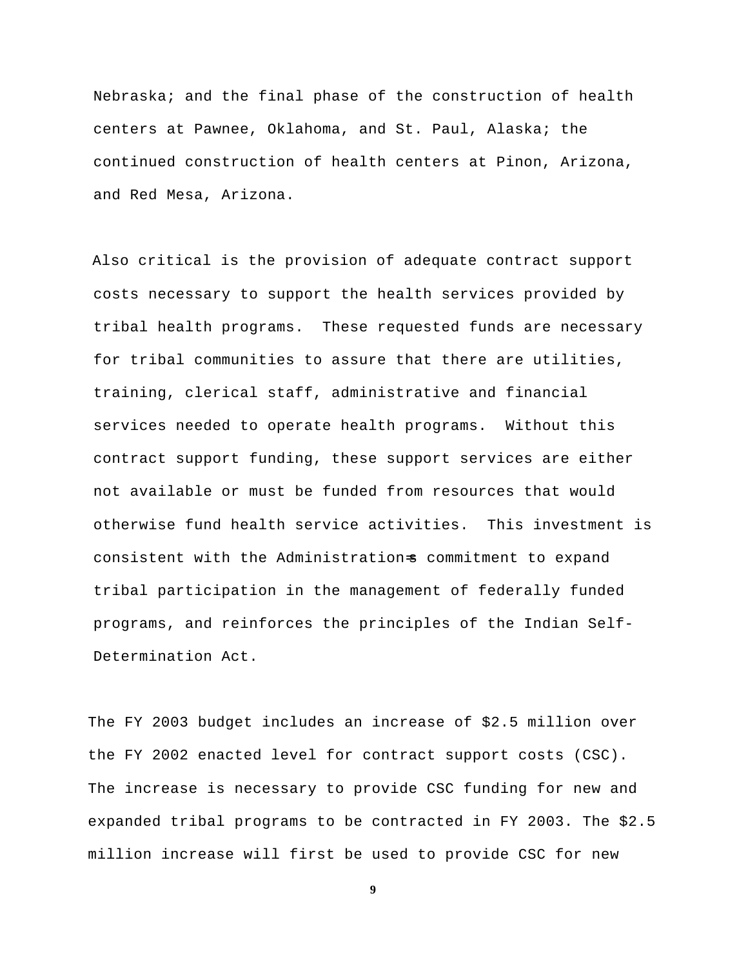Nebraska; and the final phase of the construction of health centers at Pawnee, Oklahoma, and St. Paul, Alaska; the continued construction of health centers at Pinon, Arizona, and Red Mesa, Arizona.

Also critical is the provision of adequate contract support costs necessary to support the health services provided by tribal health programs. These requested funds are necessary for tribal communities to assure that there are utilities, training, clerical staff, administrative and financial services needed to operate health programs. Without this contract support funding, these support services are either not available or must be funded from resources that would otherwise fund health service activities. This investment is consistent with the Administration=s commitment to expand tribal participation in the management of federally funded programs, and reinforces the principles of the Indian Self-Determination Act.

The FY 2003 budget includes an increase of \$2.5 million over the FY 2002 enacted level for contract support costs (CSC). The increase is necessary to provide CSC funding for new and expanded tribal programs to be contracted in FY 2003. The \$2.5 million increase will first be used to provide CSC for new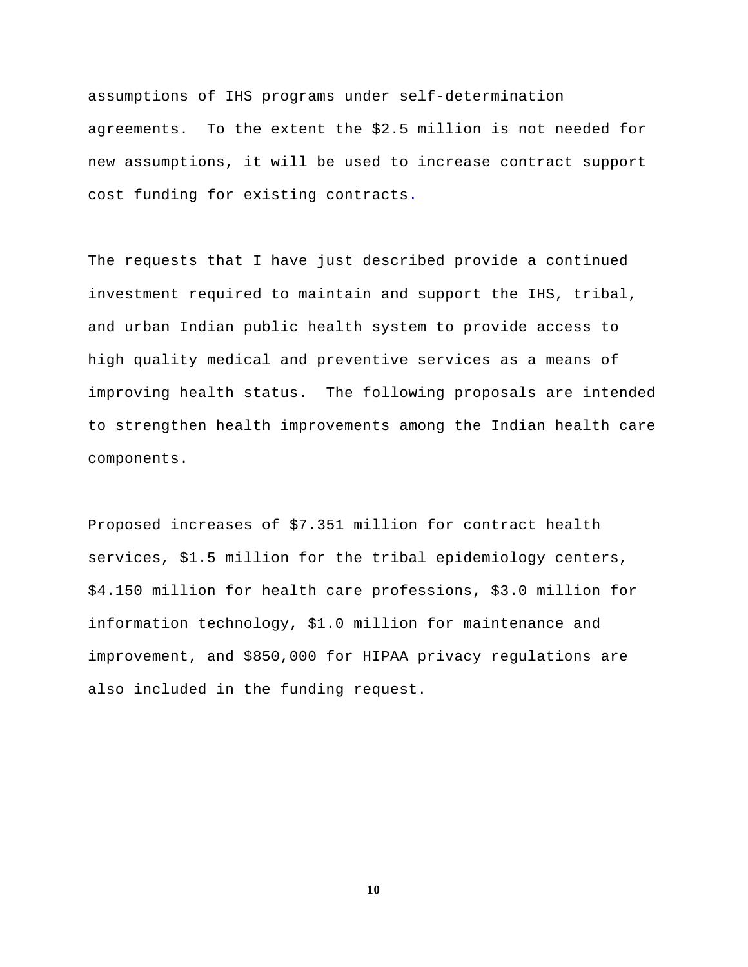assumptions of IHS programs under self-determination agreements. To the extent the \$2.5 million is not needed for new assumptions, it will be used to increase contract support cost funding for existing contracts.

The requests that I have just described provide a continued investment required to maintain and support the IHS, tribal, and urban Indian public health system to provide access to high quality medical and preventive services as a means of improving health status. The following proposals are intended to strengthen health improvements among the Indian health care components.

Proposed increases of \$7.351 million for contract health services, \$1.5 million for the tribal epidemiology centers, \$4.150 million for health care professions, \$3.0 million for information technology, \$1.0 million for maintenance and improvement, and \$850,000 for HIPAA privacy regulations are also included in the funding request.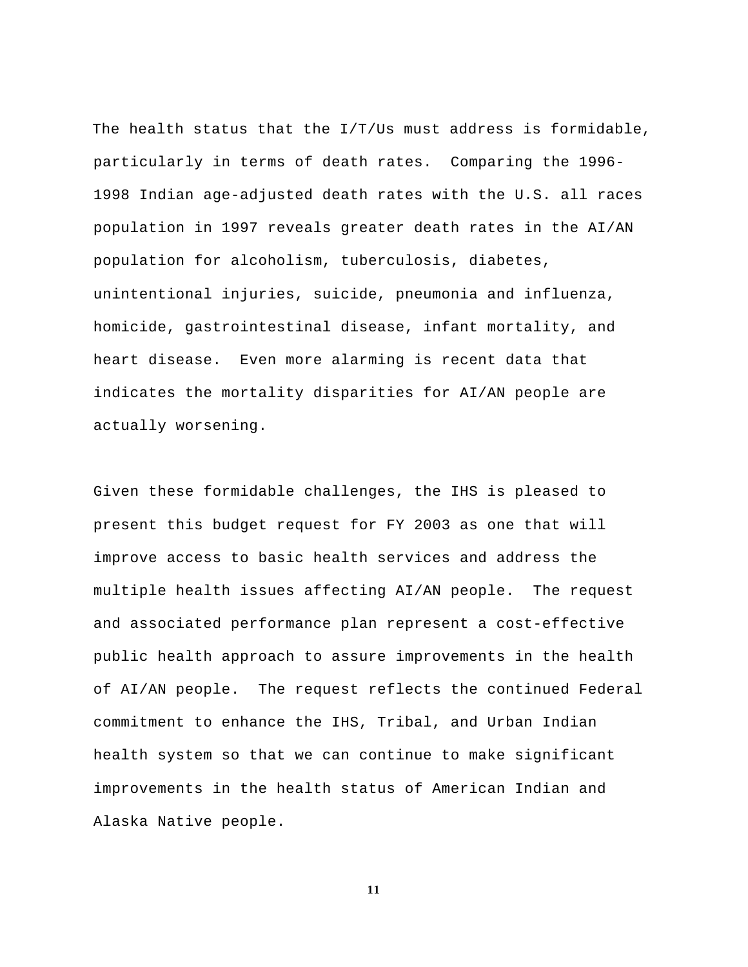The health status that the  $I/T/US$  must address is formidable, particularly in terms of death rates. Comparing the 1996 1998 Indian age-adjusted death rates with the U.S. all races population in 1997 reveals greater death rates in the AI/AN population for alcoholism, tuberculosis, diabetes, unintentional injuries, suicide, pneumonia and influenza, homicide, gastrointestinal disease, infant mortality, and heart disease. Even more alarming is recent data that indicates the mortality disparities for AI/AN people are actually worsening.

Given these formidable challenges, the IHS is pleased to present this budget request for FY 2003 as one that will improve access to basic health services and address the multiple health issues affecting AI/AN people. The request and associated performance plan represent a cost-effective public health approach to assure improvements in the health of AI/AN people. The request reflects the continued Federal commitment to enhance the IHS, Tribal, and Urban Indian health system so that we can continue to make significant improvements in the health status of American Indian and Alaska Native people.